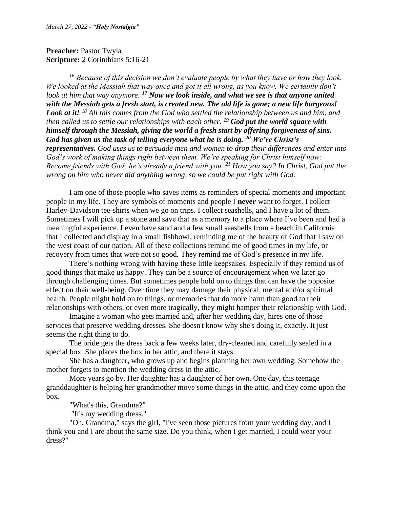**Preacher: Pastor Twyla Scripture:** 2 Corinthians 5:16-21

*<sup>16</sup> Because of this decision we don't evaluate people by what they have or how they look. We looked at the Messiah that way once and got it all wrong, as you know. We certainly don't look at him that way anymore. <sup>17</sup> Now we look inside, and what we see is that anyone united with the Messiah gets a fresh start, is created new. The old life is gone; a new life burgeons! Look at it! <sup>18</sup> All this comes from the God who settled the relationship between us and him, and then called us to settle our relationships with each other. <sup>19</sup> God put the world square with himself through the Messiah, giving the world a fresh start by offering forgiveness of sins. God has given us the task of telling everyone what he is doing. <sup>20</sup> We're Christ's representatives. God uses us to persuade men and women to drop their differences and enter into God's work of making things right between them. We're speaking for Christ himself now: Become friends with God; he's already a friend with you. <sup>21</sup> How you say? In Christ, God put the wrong on him who never did anything wrong, so we could be put right with God.*

I am one of those people who saves items as reminders of special moments and important people in my life. They are symbols of moments and people I **never** want to forget. I collect Harley-Davidson tee-shirts when we go on trips. I collect seashells, and I have a lot of them. Sometimes I will pick up a stone and save that as a memory to a place where I've been and had a meaningful experience. I even have sand and a few small seashells from a beach in California that I collected and display in a small fishbowl, reminding me of the beauty of God that I saw on the west coast of our nation. All of these collections remind me of good times in my life, or recovery from times that were not so good. They remind me of God's presence in my life.

There's nothing wrong with having these little keepsakes. Especially if they remind us of good things that make us happy. They can be a source of encouragement when we later go through challenging times. But sometimes people hold on to things that can have the opposite effect on their well-being. Over time they may damage their physical, mental and/or spiritual health. People might hold on to things, or memories that do more harm than good to their relationships with others, or even more tragically, they might hamper their relationship with God.

Imagine a woman who gets married and, after her wedding day, hires one of those services that preserve wedding dresses. She doesn't know why she's doing it, exactly. It just seems the right thing to do.

The bride gets the dress back a few weeks later, dry-cleaned and carefully sealed in a special box. She places the box in her attic, and there it stays.

She has a daughter, who grows up and begins planning her own wedding. Somehow the mother forgets to mention the wedding dress in the attic.

More years go by. Her daughter has a daughter of her own. One day, this teenage granddaughter is helping her grandmother move some things in the attic, and they come upon the box.

"What's this, Grandma?"

"It's my wedding dress."

"Oh, Grandma," says the girl, "I've seen those pictures from your wedding day, and I think you and I are about the same size. Do you think, when I get married, I could wear your dress?"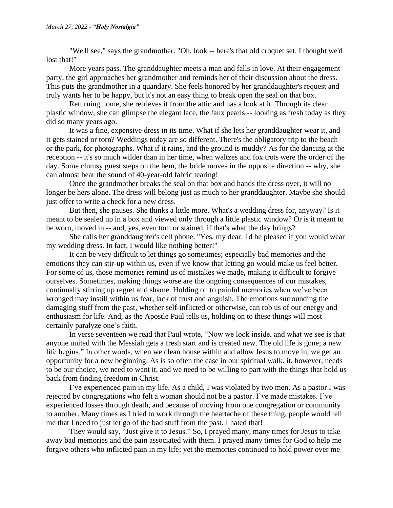"We'll see," says the grandmother. "Oh, look -- here's that old croquet set. I thought we'd lost that!"

More years pass. The granddaughter meets a man and falls in love. At their engagement party, the girl approaches her grandmother and reminds her of their discussion about the dress. This puts the grandmother in a quandary. She feels honored by her granddaughter's request and truly wants her to be happy, but it's not an easy thing to break open the seal on that box.

Returning home, she retrieves it from the attic and has a look at it. Through its clear plastic window, she can glimpse the elegant lace, the faux pearls -- looking as fresh today as they did so many years ago.

It was a fine, expensive dress in its time. What if she lets her granddaughter wear it, and it gets stained or torn? Weddings today are so different. There's the obligatory trip to the beach or the park, for photographs. What if it rains, and the ground is muddy? As for the dancing at the reception -- it's so much wilder than in her time, when waltzes and fox trots were the order of the day. Some clumsy guest steps on the hem, the bride moves in the opposite direction -- why, she can almost hear the sound of 40-year-old fabric tearing!

Once the grandmother breaks the seal on that box and hands the dress over, it will no longer be hers alone. The dress will belong just as much to her granddaughter. Maybe she should just offer to write a check for a new dress.

But then, she pauses. She thinks a little more. What's a wedding dress for, anyway? Is it meant to be sealed up in a box and viewed only through a little plastic window? Or is it meant to be worn, moved in -- and, yes, even torn or stained, if that's what the day brings?

She calls her granddaughter's cell phone. "Yes, my dear. I'd be pleased if you would wear my wedding dress. In fact, I would like nothing better!"

It can be very difficult to let things go sometimes; especially bad memories and the emotions they can stir-up within us, even if we know that letting go would make us feel better. For some of us, those memories remind us of mistakes we made, making it difficult to forgive ourselves. Sometimes, making things worse are the ongoing consequences of our mistakes, continually stirring up regret and shame. Holding on to painful memories when we've been wronged may instill within us fear, lack of trust and anguish. The emotions surrounding the damaging stuff from the past, whether self-inflicted or otherwise, can rob us of our energy and enthusiasm for life. And, as the Apostle Paul tells us, holding on to these things will most certainly paralyze one's faith.

In verse seventeen we read that Paul wrote, "Now we look inside, and what we see is that anyone united with the Messiah gets a fresh start and is created new. The old life is gone; a new life begins." In other words, when we clean house within and allow Jesus to move in, we get an opportunity for a new beginning. As is so often the case in our spiritual walk, it, however, needs to be our choice, we need to want it, and we need to be willing to part with the things that hold us back from finding freedom in Christ.

I've experienced pain in my life. As a child, I was violated by two men. As a pastor I was rejected by congregations who felt a woman should not be a pastor. I've made mistakes. I've experienced losses through death, and because of moving from one congregation or community to another. Many times as I tried to work through the heartache of these thing, people would tell me that I need to just let go of the bad stuff from the past. I hated that!

They would say, "Just give it to Jesus." So, I prayed many, many times for Jesus to take away bad memories and the pain associated with them. I prayed many times for God to help me forgive others who inflicted pain in my life; yet the memories continued to hold power over me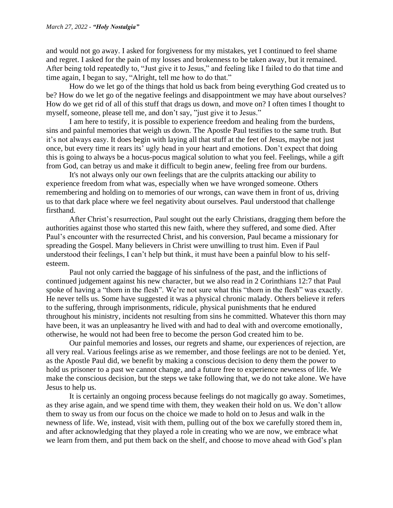and would not go away. I asked for forgiveness for my mistakes, yet I continued to feel shame and regret. I asked for the pain of my losses and brokenness to be taken away, but it remained. After being told repeatedly to, "Just give it to Jesus," and feeling like I failed to do that time and time again, I began to say, "Alright, tell me how to do that."

How do we let go of the things that hold us back from being everything God created us to be? How do we let go of the negative feelings and disappointment we may have about ourselves? How do we get rid of all of this stuff that drags us down, and move on? I often times I thought to myself, someone, please tell me, and don't say, "just give it to Jesus."

I am here to testify, it is possible to experience freedom and healing from the burdens, sins and painful memories that weigh us down. The Apostle Paul testifies to the same truth. But it's not always easy. It does begin with laying all that stuff at the feet of Jesus, maybe not just once, but every time it rears its' ugly head in your heart and emotions. Don't expect that doing this is going to always be a hocus-pocus magical solution to what you feel. Feelings, while a gift from God, can betray us and make it difficult to begin anew, feeling free from our burdens.

It's not always only our own feelings that are the culprits attacking our ability to experience freedom from what was, especially when we have wronged someone. Others remembering and holding on to memories of our wrongs, can wave them in front of us, driving us to that dark place where we feel negativity about ourselves. Paul understood that challenge firsthand.

After Christ's resurrection, Paul sought out the early Christians, dragging them before the authorities against those who started this new faith, where they suffered, and some died. After Paul's encounter with the resurrected Christ, and his conversion, Paul became a missionary for spreading the Gospel. Many believers in Christ were unwilling to trust him. Even if Paul understood their feelings, I can't help but think, it must have been a painful blow to his selfesteem.

Paul not only carried the baggage of his sinfulness of the past, and the inflictions of continued judgement against his new character, but we also read in 2 Corinthians 12:7 that Paul spoke of having a "thorn in the flesh". We're not sure what this "thorn in the flesh" was exactly. He never tells us. Some have suggested it was a physical chronic malady. Others believe it refers to the suffering, through imprisonments, ridicule, physical punishments that he endured throughout his ministry, incidents not resulting from sins he committed. Whatever this thorn may have been, it was an unpleasantry he lived with and had to deal with and overcome emotionally, otherwise, he would not had been free to become the person God created him to be.

Our painful memories and losses, our regrets and shame, our experiences of rejection, are all very real. Various feelings arise as we remember, and those feelings are not to be denied. Yet, as the Apostle Paul did, we benefit by making a conscious decision to deny them the power to hold us prisoner to a past we cannot change, and a future free to experience newness of life. We make the conscious decision, but the steps we take following that, we do not take alone. We have Jesus to help us.

It is certainly an ongoing process because feelings do not magically go away. Sometimes, as they arise again, and we spend time with them, they weaken their hold on us. We don't allow them to sway us from our focus on the choice we made to hold on to Jesus and walk in the newness of life. We, instead, visit with them, pulling out of the box we carefully stored them in, and after acknowledging that they played a role in creating who we are now, we embrace what we learn from them, and put them back on the shelf, and choose to move ahead with God's plan